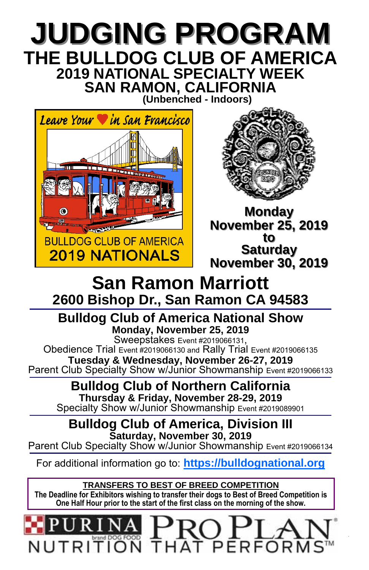## **JUDGING PROGRAM JUDGING PROGRAM THE BULLDOG CLUB OF AMERICA 2019 NATIONAL SPECIALTY WEEK SAN RAMON, CALIFORNIA (Unbenched - Indoors)**

Leave Your **V** in San Francisco **BULLDOG CLUB OF AMERICA 2019 NATIONALS** 



**Monday November 25, 2019 November 25, 2019 to Saturday Saturday November 30, 2019 November 30, 2019**

# **San Ramon Marriott 2600 Bishop Dr., San Ramon CA 94583**

**Bulldog Club of America National Show Monday, November 25, 2019** 

Obedience Trial Event #2019066130 and Rally Trial Event #2019066135 **Tuesday & Wednesday, November 26-27, 2019** Parent Club Specialty Show w/Junior Showmanship Event #2019066133

**Bulldog Club of Northern California Thursday & Friday, November 28-29, 2019** Specialty Show w/Junior Showmanship Event #2019089901

**Bulldog Club of America, Division III Saturday, November 30, 2019** Parent Club Specialty Show w/Junior Showmanship Event #2019066134

For additional information go to: **https://bulldognational.org**

**TRANSFERS TO BEST OF BREED COMPETITION The Deadline for Exhibitors wishing to transfer their dogs to Best of Breed Competition is One Half Hour prior to the start of the first class on the morning of the show.** 

**BULLET ON THAT PERFORMS™**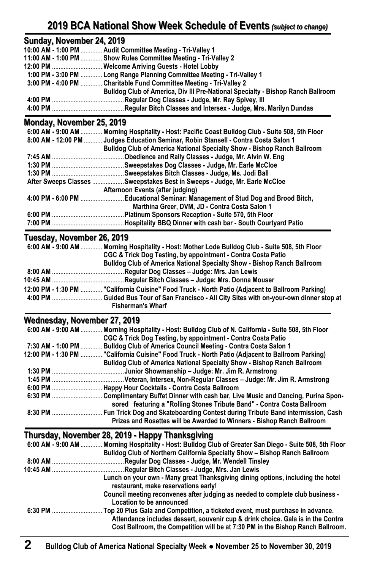## **2019 BCA National Show Week Schedule of Events 2019 National Show Week Schedule of Events** *(subject to change)*

## **Sunday, November 24, 2019**

| 10:00 AM - 1:00 PM  Audit Committee Meeting - Tri-Valley 1                      |
|---------------------------------------------------------------------------------|
| 11:00 AM - 1:00 PM  Show Rules Committee Meeting - Tri-Valley 2                 |
| 12:00 PM  Welcome Arriving Guests - Hotel Lobby                                 |
| 1:00 PM - 3:00 PM  Long Range Planning Committee Meeting - Tri-Valley 1         |
| 3:00 PM - 4:00 PM  Charitable Fund Committee Meeting - Tri-Valley 2             |
| Bulldog Club of America, Div III Pre-National Specialty - Bishop Ranch Ballroom |
|                                                                                 |
|                                                                                 |
|                                                                                 |

#### **Monday, November 25, 2019 Monday, November 25, 2019**

| $6:00$ AM - 9:00 AM | Morning Hospitality - Host: Pacific Coast Bulldog Club - Suite 508, 5th Floor       |
|---------------------|-------------------------------------------------------------------------------------|
|                     | 8:00 AM - 12:00 PM  Judges Education Seminar, Robin Stansell - Contra Costa Salon 1 |
|                     | <b>Bulldog Club of America National Specialty Show - Bishop Ranch Ballroom</b>      |
|                     | Obedience and Rally Classes - Judge, Mr. Alvin W. Eng.                              |
|                     |                                                                                     |
|                     |                                                                                     |
|                     | After Sweeps Classes Sweepstakes Best in Sweeps - Judge, Mr. Earle McCloe           |
|                     | Afternoon Events (after judging)                                                    |
|                     | 4:00 PM - 6:00 PM Educational Seminar: Management of Stud Dog and Brood Bitch,      |
|                     | Marthina Greer, DVM, JD - Contra Costa Salon 1                                      |
|                     |                                                                                     |
|                     |                                                                                     |

## **Tuesday, November 26, 2019 Tuesday, November 26, 2019**

| 6:00 AM - 9:00 AM  Morning Hospitality - Host: Mother Lode Bulldog Club - Suite 508, 5th Floor   |
|--------------------------------------------------------------------------------------------------|
| CGC & Trick Dog Testing, by appointment - Contra Costa Patio                                     |
| Bulldog Club of America National Specialty Show - Bishop Ranch Ballroom                          |
|                                                                                                  |
| 10:45 AM ………………………………………Regular Bitch Classes – Judge: Mrs. Donna Mouser                         |
| 12:00 PM - 1:30 PM  "California Cuisine" Food Truck - North Patio (Adjacent to Ballroom Parking) |
|                                                                                                  |
| <b>Fisherman's Wharf</b>                                                                         |

## Wednesday, November 27, 2019

| $6:00$ AM - 9:00 AM | Morning Hospitality - Host: Bulldog Club of N. California - Suite 508, 5th Floor                 |
|---------------------|--------------------------------------------------------------------------------------------------|
|                     | CGC & Trick Dog Testing, by appointment - Contra Costa Patio                                     |
| 7:30 AM - 1:00 PM   | Bulldog Club of America Council Meeting - Contra Costa Salon 1                                   |
|                     | 12:00 PM - 1:30 PM  "California Cuisine" Food Truck - North Patio (Adjacent to Ballroom Parking) |
|                     | <b>Bulldog Club of America National Specialty Show - Bishop Ranch Ballroom</b>                   |
|                     |                                                                                                  |
|                     |                                                                                                  |
|                     |                                                                                                  |
|                     |                                                                                                  |
|                     | sored featuring a "Rolling Stones Tribute Band" - Contra Costa Ballroom                          |
|                     |                                                                                                  |
|                     | Prizes and Rosettes will be Awarded to Winners - Bishop Ranch Ballroom                           |

### **Thursday, November 28, 2019 - Happy Thanksgiving**

| $6:00$ AM - 9:00 AM | Morning Hospitality - Host: Bulldog Club of Greater San Diego - Suite 508, 5th Floor                                                                             |
|---------------------|------------------------------------------------------------------------------------------------------------------------------------------------------------------|
|                     | Bulldog Club of Northern California Specialty Show - Bishop Ranch Ballroom                                                                                       |
| 8:00 AM             | Regular Dog Classes - Judge, Mr. Wendell Tinsley.                                                                                                                |
| 10:45 AM            | Regular Bitch Classes - Judge, Mrs. Jan Lewis                                                                                                                    |
|                     | Lunch on your own - Many great Thanksgiving dining options, including the hotel<br>restaurant, make reservations early!                                          |
|                     | Council meeting reconvenes after judging as needed to complete club business -<br>Location to be announced                                                       |
| 6:30 PM             | Top 20 Plus Gala and Competition, a ticketed event, must purchase in advance.<br>Attendance includes dessert, souvenir cup & drink choice. Gala is in the Contra |
|                     | Cost Ballroom, the Competition will be at 7:30 PM in the Bishop Ranch Ballroom.                                                                                  |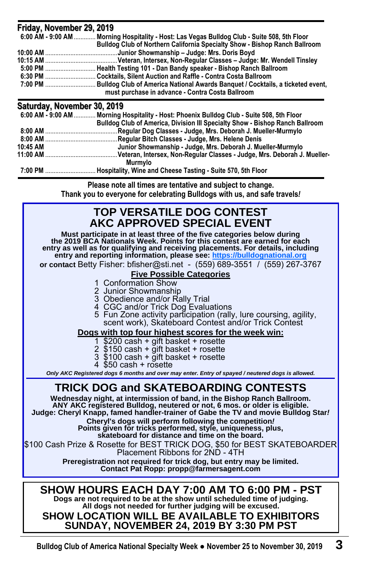| Friday, November 29, 2019   |                                                                                              |
|-----------------------------|----------------------------------------------------------------------------------------------|
|                             | 6:00 AM - 9:00 AM  Morning Hospitality - Host: Las Vegas Bulldog Club - Suite 508, 5th Floor |
|                             | Bulldog Club of Northern California Specialty Show - Bishop Ranch Ballroom                   |
|                             | Junior Showmanship - Judge: Mrs. Doris Boyd                                                  |
|                             |                                                                                              |
|                             |                                                                                              |
|                             |                                                                                              |
|                             | must purchase in advance - Contra Costa Ballroom                                             |
| Saturday, November 30, 2019 |                                                                                              |
|                             | 6:00 AM - 9:00 AM  Morning Hospitality - Host: Phoenix Bulldog Club - Suite 508, 5th Floor   |
|                             | <b>Bulldog Club of America, Division III Specialty Show - Bishop Ranch Ballroom</b>          |
|                             | Regular Dog Classes - Judge, Mrs. Deborah J. Mueller-Murmylo                                 |
|                             | Regular Bitch Classes - Judge, Mrs. Helene Denis                                             |
| 10:45 AM                    | Junior Showmanship - Judge, Mrs. Deborah J. Mueller-Murmylo                                  |
|                             | . Veteran, Intersex, Non-Regular Classes - Judge, Mrs. Deborah J. Mueller-                   |
|                             | Murmylo                                                                                      |
| 7:00 PM                     | Hospitality, Wine and Cheese Tasting - Suite 570, 5th Floor                                  |

**Please note all times are tentative and subject to change. Thank you to everyone for celebrating Bulldogs with us, and safe travels***!* 

## **TOP VERSATILE DOG CONTEST AKC APPROVED SPECIAL EVENT**

**Must participate in at least three of the five categories below during the 2019 BCA Nationals Week. Points for this contest are earned for each entry as well as for qualifying and receiving placements. For details, including entry and reporting information, please see: https://bulldognational.org**

**or contact** Betty Fisher: bfisher@sti.net - (559) 689-3551 / (559) 267-3767

#### **Five Possible Categories**

- 1 Conformation Show
- 2 Junior Showmanship
- 3 Obedience and/or Rally Trial
- 4 CGC and/or Trick Dog Evaluations
- 5 Fun Zone activity participation (rally, lure coursing, agility, scent work), Skateboard Contest and/or Trick Contest

#### **Dogs with top four highest scores for the week win:**

- 1 \$200 cash + gift basket + rosette
- 2 \$150 cash + gift basket + rosette
- 3 \$100 cash + gift basket + rosette
	- 4 \$50 cash + rosette

*Only AKC Registered dogs 6 months and over may enter. Entry of spayed / neutered dogs is allowed.* 

## **TRICK DOG and SKATEBOARDING CONTESTS**

**Wednesday night, at intermission of band, in the Bishop Ranch Ballroom. ANY AKC registered Bulldog, neutered or not, 6 mos. or older is eligible. Judge: Cheryl Knapp, famed handler-trainer of Gabe the TV and movie Bulldog Star***!*

**Cheryl's dogs will perform following the competition***!* **Points given for tricks performed, style, uniqueness, plus, skateboard for distance and time on the board.** 

\$100 Cash Prize & Rosette for BEST TRICK DOG, \$50 for BEST SKATEBOARDER Placement Ribbons for 2ND - 4TH

**Preregistration not required for trick dog, but entry may be limited. Contact Pat Ropp: propp@farmersagent.com** 

**SHOW HOURS EACH DAY 7:00 AM TO 6:00 PM - PST Dogs are not required to be at the show until scheduled time of judging. All dogs not needed for further judging will be excused.** 

#### **SHOW LOCATION WILL BE AVAILABLE TO EXHIBITORS SUNDAY, NOVEMBER 24, 2019 BY 3:30 PM PST**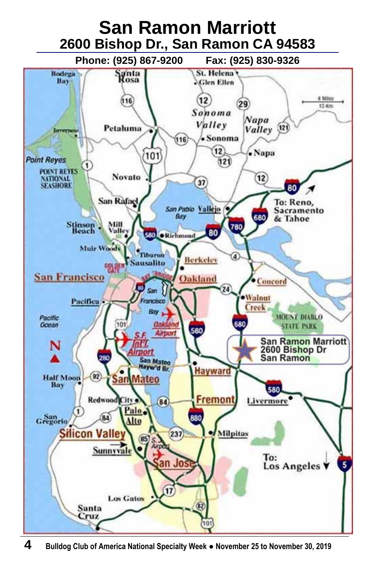

**4 Bulldog Club of America National Specialty Week ● November 25 to November 30, 2019**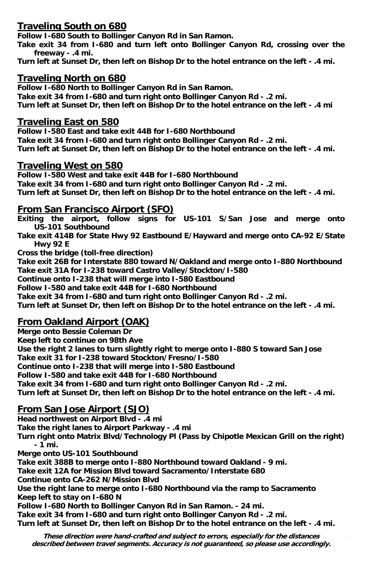#### **Traveling South on 680**

**Follow I-680 South to Bollinger Canyon Rd in San Ramon.** 

**Take exit 34 from I-680 and turn left onto Bollinger Canyon Rd, crossing over the freeway - .4 mi.** 

**Turn left at Sunset Dr, then left on Bishop Dr to the hotel entrance on the left - .4 mi.** 

#### **Traveling North on 680**

**Follow I-680 North to Bollinger Canyon Rd in San Ramon. Take exit 34 from I-680 and turn right onto Bollinger Canyon Rd - .2 mi. Turn left at Sunset Dr, then left on Bishop Dr to the hotel entrance on the left - .4 mi** 

#### **Traveling East on 580**

**Follow I-580 East and take exit 44B for I-680 Northbound Take exit 34 from I-680 and turn right onto Bollinger Canyon Rd - .2 mi. Turn left at Sunset Dr, then left on Bishop Dr to the hotel entrance on the left - .4 mi.** 

#### **Traveling West on 580**

**Follow I-580 West and take exit 44B for I-680 Northbound Take exit 34 from I-680 and turn right onto Bollinger Canyon Rd - .2 mi. Turn left at Sunset Dr, then left on Bishop Dr to the hotel entrance on the left - .4 mi.** 

#### **From San Francisco Airport (SFO)**

**Exiting the airport, follow signs for US-101 S/San Jose and merge onto US-101 Southbound** 

**Take exit 414B for State Hwy 92 Eastbound E/Hayward and merge onto CA-92 E/State Hwy 92 E** 

**Cross the bridge (toll-free direction)** 

**Take exit 26B for Interstate 880 toward N/Oakland and merge onto I-880 Northbound Take exit 31A for I-238 toward Castro Valley/Stockton/I-580** 

**Continue onto I-238 that will merge into I-580 Eastbound** 

**Follow I-580 and take exit 44B for I-680 Northbound** 

**Take exit 34 from I-680 and turn right onto Bollinger Canyon Rd - .2 mi.** 

**Turn left at Sunset Dr, then left on Bishop Dr to the hotel entrance on the left - .4 mi.** 

#### **From Oakland Airport (OAK)**

**Merge onto Bessie Coleman Dr** 

**Keep left to continue on 98th Ave** 

**Use the right 2 lanes to turn slightly right to merge onto I-880 S toward San Jose Take exit 31 for I-238 toward Stockton/Fresno/I-580** 

**Continue onto I-238 that will merge into I-580 Eastbound** 

**Follow I-580 and take exit 44B for I-680 Northbound** 

**Take exit 34 from I-680 and turn right onto Bollinger Canyon Rd - .2 mi.** 

**Turn left at Sunset Dr, then left on Bishop Dr to the hotel entrance on the left - .4 mi.** 

#### **From San Jose Airport (SJO)**

**Head northwest on Airport Blvd - .4 mi** 

**Take the right lanes to Airport Parkway - .4 mi** 

**Turn right onto Matrix Blvd/Technology Pl (Pass by Chipotle Mexican Grill on the right) - 1 mi.** 

**Merge onto US-101 Southbound** 

**Take exit 388B to merge onto I-880 Northbound toward Oakland - 9 mi.** 

**Take exit 12A for Mission Blvd toward Sacramento/Interstate 680** 

**Continue onto CA-262 N/Mission Blvd** 

**Use the right lane to merge onto I-680 Northbound via the ramp to Sacramento Keep left to stay on I-680 N** 

**Follow I-680 North to Bollinger Canyon Rd in San Ramon. - 24 mi.** 

**Take exit 34 from I-680 and turn right onto Bollinger Canyon Rd - .2 mi.**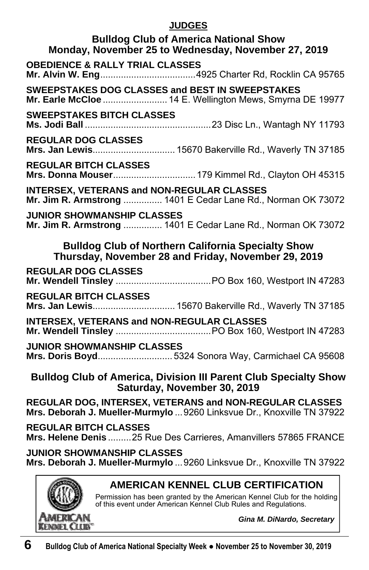#### **JUDGES**

| <b>Bulldog Club of America National Show</b><br>Monday, November 25 to Wednesday, November 27, 2019                                                                                     |
|-----------------------------------------------------------------------------------------------------------------------------------------------------------------------------------------|
| <b>OBEDIENCE &amp; RALLY TRIAL CLASSES</b>                                                                                                                                              |
| SWEEPSTAKES DOG CLASSES and BEST IN SWEEPSTAKES<br>Mr. Earle McCloe  14 E. Wellington Mews, Smyrna DE 19977                                                                             |
| <b>SWEEPSTAKES BITCH CLASSES</b>                                                                                                                                                        |
| REGULAR DOG CLASSES<br>Mrs. Jan Lewis 15670 Bakerville Rd., Waverly TN 37185                                                                                                            |
| <b>REGULAR BITCH CLASSES</b><br>Mrs. Donna Mouser 179 Kimmel Rd., Clayton OH 45315                                                                                                      |
| <b>INTERSEX, VETERANS and NON-REGULAR CLASSES</b><br>Mr. Jim R. Armstrong  1401 E Cedar Lane Rd., Norman OK 73072                                                                       |
| <b>JUNIOR SHOWMANSHIP CLASSES</b><br>Mr. Jim R. Armstrong  1401 E Cedar Lane Rd., Norman OK 73072                                                                                       |
| <b>Bulldog Club of Northern California Specialty Show</b><br>Thursday, November 28 and Friday, November 29, 2019                                                                        |
| <b>REGULAR DOG CLASSES</b>                                                                                                                                                              |
| <b>REGULAR BITCH CLASSES</b><br>Mrs. Jan Lewis 15670 Bakerville Rd., Waverly TN 37185                                                                                                   |
| <b>INTERSEX, VETERANS and NON-REGULAR CLASSES</b>                                                                                                                                       |
| JUNIOR SHOWMANSHIP CLASSES<br>Mrs. Doris Boyd 5324 Sonora Way, Carmichael CA 95608                                                                                                      |
| <b>Bulldog Club of America, Division III Parent Club Specialty Show</b><br>Saturday, November 30, 2019                                                                                  |
| REGULAR DOG, INTERSEX, VETERANS and NON-REGULAR CLASSES<br>Mrs. Deborah J. Mueller-Murmylo  9260 Linksvue Dr., Knoxville TN 37922                                                       |
| <b>REGULAR BITCH CLASSES</b><br>Mrs. Helene Denis 25 Rue Des Carrieres, Amanvillers 57865 FRANCE                                                                                        |
| <b>JUNIOR SHOWMANSHIP CLASSES</b><br>Mrs. Deborah J. Mueller-Murmylo  9260 Linksvue Dr., Knoxville TN 37922                                                                             |
| <b>AMERICAN KENNEL CLUB CERTIFICATION</b><br>Permission has been granted by the American Kennel Club for the holding<br>of this event under American Kennel Club Rules and Regulations. |

**KENNEL C** 

LUB<sup>-</sup>

*Gina M. DiNardo, Secretary*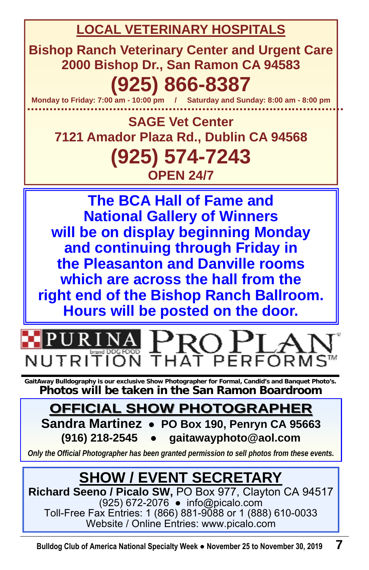**LOCAL VETERINARY HOSPITALS**

**Bishop Ranch Veterinary Center and Urgent Care 2000 Bishop Dr., San Ramon CA 94583** 

# **(925) 866-8387**

**Monday to Friday: 7:00 am - 10:00 pm / Saturday and Sunday: 8:00 am - 8:00 pm** 

**SAGE Vet Center 7121 Amador Plaza Rd., Dublin CA 94568 (925) 574-7243 OPEN 24/7** 

**The BCA Hall of Fame and National Gallery of Winners will be on display beginning Monday and continuing through Friday in the Pleasanton and Danville rooms which are across the hall from the right end of the Bishop Ranch Ballroom. Hours will be posted on the door.** 



**GaitAway Bulldography is our exclusive Show Photographer for Formal, Candid's and Banquet Photo's. Photos will be taken in the San Ramon Boardroom** 

# **OFFICIAL SHOW PHOTOGRAPHER OFFICIAL SHOW PHOTOGRAPHER**

**Sandra Martinez** ● **PO Box 190, Penryn CA 95663 (916) 218-2545** ● **gaitawayphoto@aol.com** 

*Only the Official Photographer has been granted permission to sell photos from these events.* 

# **SHOW / EVENT SECRETARY**

**Richard Seeno / Picalo SW,** PO Box 977, Clayton CA 94517 (925) 672-2076 ● info@picalo.com Toll-Free Fax Entries: 1 (866) 881-9088 or 1 (888) 610-0033 Website / Online Entries: www.picalo.com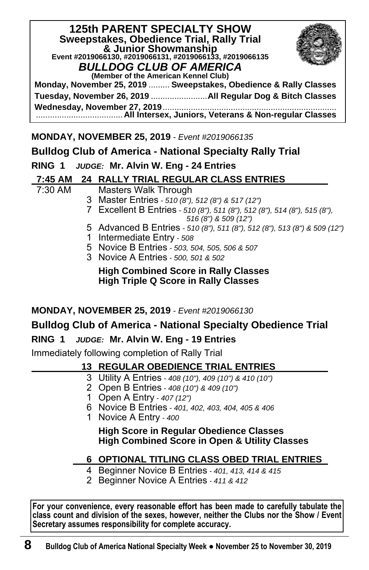| <b>125th PARENT SPECIALTY SHOW</b>                                     |
|------------------------------------------------------------------------|
| Sweepstakes, Obedience Trial, Rally Trial                              |
| & Junior Showmanship                                                   |
| Event #2019066130, #2019066131, #2019066133, #2019066135               |
| <b>BULLDOG CLUB OF AMERICA</b><br>(Member of the American Kennel Club) |
| Monday, November 25, 2019  Sweepstakes, Obedience & Rally Classes      |
|                                                                        |
|                                                                        |

**MONDAY, NOVEMBER 25, 2019** *- Event #2019066135* 

## **Bulldog Club of America - National Specialty Rally Trial**

#### **RING 1** *JUDGE:* **Mr. Alvin W. Eng - 24 Entries**

#### **7:45 AM 24 RALLY TRIAL REGULAR CLASS ENTRIES \_**

| 7:30 AM | Masters Walk Through                                                                       |
|---------|--------------------------------------------------------------------------------------------|
|         | 3 Master Entries - 510 (8"), 512 (8") & 517 (12")                                          |
|         | 7 Excellent B Entries - 510 (8"), 511 (8"), 512 (8"), 514 (8"), 515 (8"),                  |
|         | 516 (8") & 509 (12")                                                                       |
|         | 5 Advanced B Entries - 510 (8"), 511 (8"), 512 (8"), 513 (8") & 509 (12")                  |
|         | 1 Intermediate Entry - 508                                                                 |
|         | 5 Novice B Entries - 503, 504, 505, 506 & 507                                              |
|         | 3 Novice A Entries - 500, 501 & 502                                                        |
|         | <b>High Combined Score in Rally Classes</b><br><b>High Triple Q Score in Rally Classes</b> |
|         |                                                                                            |

#### **MONDAY, NOVEMBER 25, 2019** *- Event #2019066130*

## **Bulldog Club of America - National Specialty Obedience Trial**

#### **RING 1** *JUDGE:* **Mr. Alvin W. Eng - 19 Entries**

Immediately following completion of Rally Trial

## **13 REGULAR OBEDIENCE TRIAL ENTRIES \_**

- 3 Utility A Entries *408 (10"), 409 (10") & 410 (10")*
	- 2 Open B Entries *408 (10") & 409 (10")*
- 1 Open A Entry *407 (12")*
- 6 Novice B Entries *401, 402, 403, 404, 405 & 406*
- 1 Novice A Entry *400*

 **High Score in Regular Obedience Classes High Combined Score in Open & Utility Classes** 

## **6 OPTIONAL TITLING CLASS OBED TRIAL ENTRIES \_**

- 4 Beginner Novice B Entries *401, 413, 414 & 415*
- 2 Beginner Novice A Entries *411 & 412*

**For your convenience, every reasonable effort has been made to carefully tabulate the class count and division of the sexes, however, neither the Clubs nor the Show / Event Secretary assumes responsibility for complete accuracy.**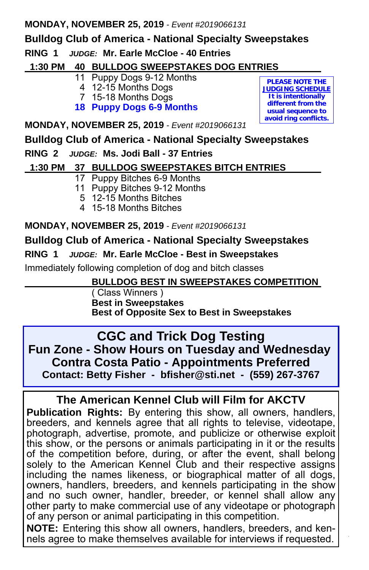#### **MONDAY, NOVEMBER 25, 2019** *- Event #2019066131*

## **Bulldog Club of America - National Specialty Sweepstakes**

## **RING 1** *JUDGE:* **Mr. Earle McCloe - 40 Entries**

## **1:30 PM 40 BULLDOG SWEEPSTAKES DOG ENTRIES \_**

- 11 Puppy Dogs 9-12 Months
- 4 12-15 Months Dogs
- 7 15-18 Months Dogs
- **18 Puppy Dogs 6-9 Months**

**PLEASE NOTE THE JUDGING SCHEDULE It is intentionally different from the usual sequence to avoid ring conflicts.** 

**MONDAY, NOVEMBER 25, 2019** *- Event #2019066131*

## **Bulldog Club of America - National Specialty Sweepstakes**

### **RING 2** *JUDGE:* **Ms. Jodi Ball - 37 Entries**

## **1:30 PM 37 BULLDOG SWEEPSTAKES BITCH ENTRIES \_**

- 17 Puppy Bitches 6-9 Months
- 11 Puppy Bitches 9-12 Months
	- 5 12-15 Months Bitches
- 4 15-18 Months Bitches

**MONDAY, NOVEMBER 25, 2019** *- Event #2019066131*

## **Bulldog Club of America - National Specialty Sweepstakes**

**RING 1** *JUDGE:* **Mr. Earle McCloe - Best in Sweepstakes**

Immediately following completion of dog and bitch classes

## **BULLDOG BEST IN SWEEPSTAKES COMPETITION \_**

 ( Class Winners )  **Best in Sweepstakes Best of Opposite Sex to Best in Sweepstakes**

**CGC and Trick Dog Testing Fun Zone - Show Hours on Tuesday and Wednesday Contra Costa Patio - Appointments Preferred Contact: Betty Fisher - bfisher@sti.net - (559) 267-3767**

## **The American Kennel Club will Film for AKCTV**

**Publication Rights:** By entering this show, all owners, handlers, breeders, and kennels agree that all rights to televise, videotape, photograph, advertise, promote, and publicize or otherwise exploit this show, or the persons or animals participating in it or the results of the competition before, during, or after the event, shall belong solely to the American Kennel Club and their respective assigns including the names likeness, or biographical matter of all dogs, owners, handlers, breeders, and kennels participating in the show and no such owner, handler, breeder, or kennel shall allow any other party to make commercial use of any videotape or photograph of any person or animal participating in this competition.

nels agree to make themselves available for interviews if requested. **NOTE:** Entering this show all owners, handlers, breeders, and ken-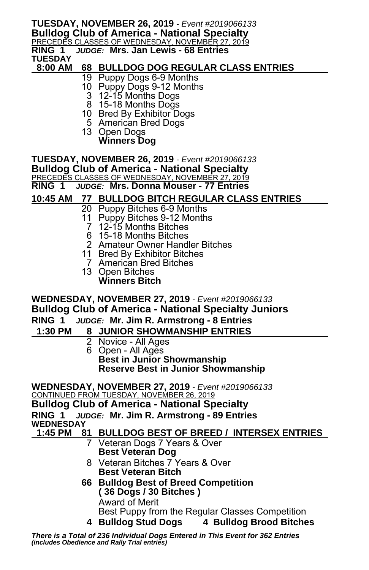#### **TUESDAY, NOVEMBER 26, 2019** *- Event #2019066133* **Bulldog Club of America - National Specialty**

<u>PRECEDES CLASSES OF WEDNESDAY, NOVEMBER 27, 2019</u><br>RING 1 *JUDGE: M*Irs. Jan Lewis - 68 Entries **RING 1** *JUDGE:* **Mrs. Jan Lewis - 68 Entries**

**TUESDAY** 

#### **8:00 AM 68 BULLDOG DOG REGULAR CLASS ENTRIES \_**

- 19 Puppy Dogs 6-9 Months
- 10 Puppy Dogs 9-12 Months
- 3 12-15 Months Dogs
	- 8 15-18 Months Dogs
	- 10 Bred By Exhibitor Dogs
	- 5 American Bred Dogs
	- 13 Open Dogs
		- **Winners Dog**

**TUESDAY, NOVEMBER 26, 2019** *- Event #2019066133*

**Bulldog Club of America - National Specialty** 

<u>PRECEDES CLASSES OF WEDNESDAY, NOVEMBER 27, 2019</u><br>RING 1 *JUDGE:* Mrs. Donna Mouser - 77 Entries

**RING 1** *JUDGE:* **Mrs. Donna Mouser - 77 Entries**

#### **10:45 AM 77 BULLDOG BITCH REGULAR CLASS ENTRIES \_**

- 20 Puppy Bitches 6-9 Months
- 11 Puppy Bitches 9-12 Months
- 7 12-15 Months Bitches
- 6 15-18 Months Bitches
- 2 Amateur Owner Handler Bitches
- 11 Bred By Exhibitor Bitches
- 7 American Bred Bitches
- 13 Open Bitches
	- **Winners Bitch**

**WEDNESDAY, NOVEMBER 27, 2019** *- Event #2019066133* **Bulldog Club of America - National Specialty Juniors RING 1** *JUDGE:* **Mr. Jim R. Armstrong - 8 Entries**

- **1:30 PM 8 JUNIOR SHOWMANSHIP ENTRIES \_**
	- 2 Novice All Ages 6 Open - All Ages  **Best in Junior Showmanship Reserve Best in Junior Showmanship**
	-

**WEDNESDAY, NOVEMBER 27, 2019** *- Event #2019066133* CONTINUED FROM TUESDAY, NOVEMBER 26, 2019

**Bulldog Club of America - National Specialty RING 1** *JUDGE:* **Mr. Jim R. Armstrong - 89 Entries WEDNESDAY** 

#### **1:45 PM 81 BULLDOG BEST OF BREED / INTERSEX ENTRIES \_**

- 7 Veteran Dogs 7 Years & Over  **Best Veteran Dog**
- 8 Veteran Bitches 7 Years & Over  **Best Veteran Bitch**
- **66 Bulldog Best of Breed Competition ( 36 Dogs / 30 Bitches )** Award of Merit Best Puppy from the Regular Classes Competition
	- **4 Bulldog Stud Dogs 4 Bulldog Brood Bitches**

There is a Total of 236 Individual Dogs Entered in This Event for 362 Entries<br>(includes Obedience and Rally Trial entries)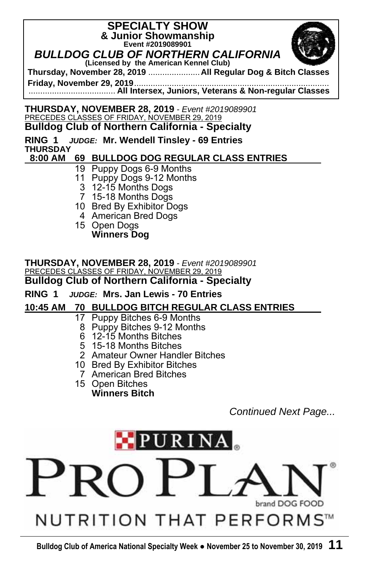## **SPECIALTY SHOW & Junior Showmanship Event #2019089901**  *BULLDOG CLUB OF NORTHERN CALIFORNIA*



**(Licensed by the American Kennel Club) Thursday, November 28, 2019** ...................... **All Regular Dog & Bitch Classes** 

**Friday, November 29, 2019** ................................................................................... ..................................... **All Intersex, Juniors, Veterans & Non-regular Classes** 

#### **THURSDAY, NOVEMBER 28, 2019** *- Event #2019089901* PRECEDES CLASSES OF FRIDAY, NOVEMBER 29, 2019 **Bulldog Club of Northern California - Specialty**

**RING 1** *JUDGE:* **Mr. Wendell Tinsley - 69 Entries THURSDAY** 

#### **8:00 AM 69 BULLDOG DOG REGULAR CLASS ENTRIES \_**

- 19 Puppy Dogs 6-9 Months
- 11 Puppy Dogs 9-12 Months
	- 3 12-15 Months Dogs
	- 7 15-18 Months Dogs
- 10 Bred By Exhibitor Dogs
- 4 American Bred Dogs
- 15 Open Dogs  **Winners Dog**

**THURSDAY, NOVEMBER 28, 2019** *- Event #2019089901* PRECEDES CLASSES OF FRIDAY, NOVEMBER 29, 2019 **Bulldog Club of Northern California - Specialty** 

#### **RING 1** *JUDGE:* **Mrs. Jan Lewis - 70 Entries**

#### **10:45 AM 70 BULLDOG BITCH REGULAR CLASS ENTRIES \_**

- 17 Puppy Bitches 6-9 Months
	- 8 Puppy Bitches 9-12 Months
	- 6 12-15 Months Bitches
	- 5 15-18 Months Bitches
- 2 Amateur Owner Handler Bitches
- 10 Bred By Exhibitor Bitches
	- 7 American Bred Bitches
- 15 Open Bitches  **Winners Bitch**

*Continued Next Page...* 

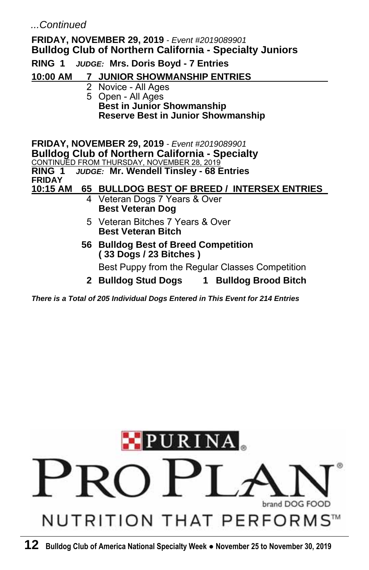#### *...Continued*

### **FRIDAY, NOVEMBER 29, 2019** *- Event #2019089901* **Bulldog Club of Northern California - Specialty Juniors RING 1** *JUDGE:* **Mrs. Doris Boyd - 7 Entries 10:00 AM 7 JUNIOR SHOWMANSHIP ENTRIES \_** 2 Novice - All Ages 5 Open - All Ages  **Best in Junior Showmanship Reserve Best in Junior Showmanship FRIDAY, NOVEMBER 29, 2019** *- Event #2019089901* **Bulldog Club of Northern California - Specialty**  <u>CONTINUED FROM THURSDAY, NOVEMBER 28, 2019</u><br>RING 1 *JUDGE:* Mr. Wendell Tinslev - 68 E **RING 1** *JUDGE:* **Mr. Wendell Tinsley - 68 Entries FRIDAY 10:15 AM 65 BULLDOG BEST OF BREED / INTERSEX ENTRIES \_** 4 Veteran Dogs 7 Years & Over  **Best Veteran Dog**  5 Veteran Bitches 7 Years & Over  **Best Veteran Bitch 56 Bulldog Best of Breed Competition ( 33 Dogs / 23 Bitches )** Best Puppy from the Regular Classes Competition  **2 Bulldog Stud Dogs 1 Bulldog Brood Bitch**

*There is a Total of 205 Individual Dogs Entered in This Event for 214 Entries*

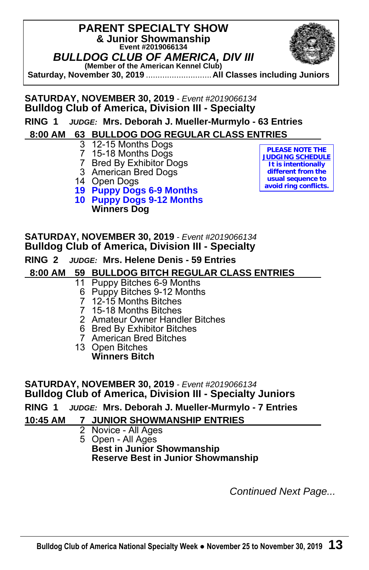## **PARENT SPECIALTY SHOW & Junior Showmanship Event #2019066134**  *BULLDOG CLUB OF AMERICA, DIV III*  **(Member of the American Kennel Club)**



**Saturday, November 30, 2019** ............................ **All Classes including Juniors** 

## **SATURDAY, NOVEMBER 30, 2019** *- Event #2019066134* **Bulldog Club of America, Division III - Specialty**

## **RING 1** *JUDGE:* **Mrs. Deborah J. Mueller-Murmylo - 63 Entries**

#### **8:00 AM 63 BULLDOG DOG REGULAR CLASS ENTRIES \_**

- 3 12-15 Months Dogs
- 7 15-18 Months Dogs
- 7 Bred By Exhibitor Dogs
- 3 American Bred Dogs
- 14 Open Dogs
- **19 Puppy Dogs 6-9 Months**
- **10 Puppy Dogs 9-12 Months Winners Dog**

**PLEASE NOTE THE JUDGING SCHEDULE It is intentionally different from the usual sequence to avoid ring conflicts.** 

## **SATURDAY, NOVEMBER 30, 2019** *- Event #2019066134* **Bulldog Club of America, Division III - Specialty**

#### **RING 2** *JUDGE:* **Mrs. Helene Denis - 59 Entries**

#### **8:00 AM 59 BULLDOG BITCH REGULAR CLASS ENTRIES \_**

#### 11 Puppy Bitches 6-9 Months

- 6 Puppy Bitches 9-12 Months
- 7 12-15 Months Bitches
- 7 15-18 Months Bitches
- 2 Amateur Owner Handler Bitches
- 6 Bred By Exhibitor Bitches
- 7 American Bred Bitches
- 13 Open Bitches  **Winners Bitch**

#### **SATURDAY, NOVEMBER 30, 2019** *- Event #2019066134* **Bulldog Club of America, Division III - Specialty Juniors**

#### **RING 1** *JUDGE:* **Mrs. Deborah J. Mueller-Murmylo - 7 Entries**

#### **10:45 AM 7 JUNIOR SHOWMANSHIP ENTRIES \_**

- 2 Novice All Ages
- 5 Open All Ages  **Best in Junior Showmanship Reserve Best in Junior Showmanship**

*Continued Next Page...*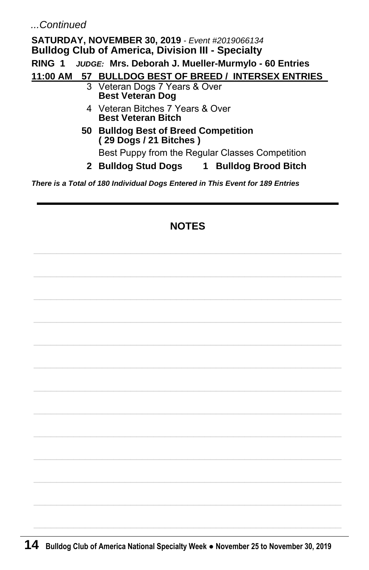*...Continued* 

**SATURDAY, NOVEMBER 30, 2019** *- Event #2019066134* **Bulldog Club of America, Division III - Specialty RING 1** *JUDGE:* **Mrs. Deborah J. Mueller-Murmylo - 60 Entries 11:00 AM 57 BULLDOG BEST OF BREED / INTERSEX ENTRIES \_** 3 Veteran Dogs 7 Years & Over  **Best Veteran Dog**  4 Veteran Bitches 7 Years & Over  **Best Veteran Bitch 50 Bulldog Best of Breed Competition ( 29 Dogs / 21 Bitches )** Best Puppy from the Regular Classes Competition  **2 Bulldog Stud Dogs 1 Bulldog Brood Bitch**

*There is a Total of 180 Individual Dogs Entered in This Event for 189 Entries* 

## **NOTES**

 $\mathcal{L}_\text{max}$  and the set of the set of the set of the set of the set of the set of the set of the set of the set of

 $\mathcal{L}_\text{max}$  and the set of the set of the set of the set of the set of the set of the set of the set of the set of

 $\mathcal{L}_\text{max}$  and  $\mathcal{L}_\text{max}$  and  $\mathcal{L}_\text{max}$  and  $\mathcal{L}_\text{max}$  and  $\mathcal{L}_\text{max}$ 

 $\mathcal{L}_\text{max}$  and the set of the set of the set of the set of the set of the set of the set of the set of the set of

 $\mathcal{L}_\text{max}$  and the set of the set of the set of the set of the set of the set of the set of the set of the set of

 $\mathcal{L}_\text{max}$  and  $\mathcal{L}_\text{max}$  and  $\mathcal{L}_\text{max}$  and  $\mathcal{L}_\text{max}$  and  $\mathcal{L}_\text{max}$ 

 $\mathcal{L}_\text{max}$  and the set of the set of the set of the set of the set of the set of the set of the set of the set of

 $\mathcal{L}_\text{max}$  and  $\mathcal{L}_\text{max}$  and  $\mathcal{L}_\text{max}$  and  $\mathcal{L}_\text{max}$  and  $\mathcal{L}_\text{max}$ 

 $\mathcal{L}_\text{max}$  and the set of the set of the set of the set of the set of the set of the set of the set of the set of

 $\mathcal{L}_\text{max}$  and the set of the set of the set of the set of the set of the set of the set of the set of the set of

 $\mathcal{L}_\text{max}$  and the set of the set of the set of the set of the set of the set of the set of the set of the set of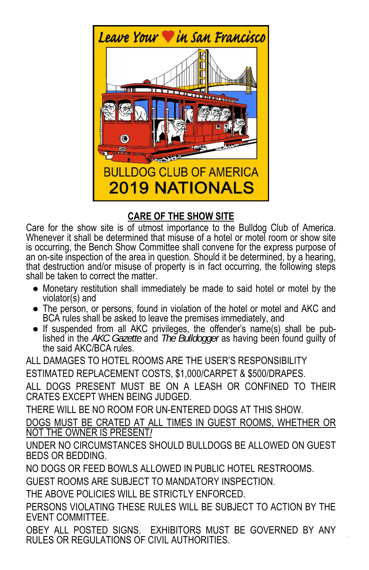

## **CARE OF THE SHOW SITE**

Care for the show site is of utmost importance to the Bulldog Club of America. Whenever it shall be determined that misuse of a hotel or motel room or show site is occurring, the Bench Show Committee shall convene for the express purpose of an on-site inspection of the area in question. Should it be determined, by a hearing, that destruction and/or misuse of property is in fact occurring, the following steps shall be taken to correct the matter.

- Monetary restitution shall immediately be made to said hotel or motel by the violator(s) and
- The person, or persons, found in violation of the hotel or motel and AKC and BCA rules shall be asked to leave the premises immediately, and
- If suspended from all AKC privileges, the offender's name(s) shall be published in the *AKC Gazette* and *The Bulldogger* as having been found guilty of the said AKC/BCA rules.

ALL DAMAGES TO HOTEL ROOMS ARE THE USER'S RESPONSIBILITY ESTIMATED REPLACEMENT COSTS, \$1,000/CARPET & \$500/DRAPES.

ALL DOGS PRESENT MUST BE ON A LEASH OR CONFINED TO THEIR CRATES EXCEPT WHEN BEING JUDGED.

THERE WILL BE NO ROOM FOR UN-ENTERED DOGS AT THIS SHOW.

DOGS MUST BE CRATED AT ALL TIMES IN GUEST ROOMS, WHETHER OR NOT THE OWNER IS PRESENT*!*

UNDER NO CIRCUMSTANCES SHOULD BULLDOGS BE ALLOWED ON GUEST BEDS OR BEDDING.

NO DOGS OR FEED BOWLS ALLOWED IN PUBLIC HOTEL RESTROOMS.

GUEST ROOMS ARE SUBJECT TO MANDATORY INSPECTION.

THE ABOVE POLICIES WILL BE STRICTLY ENFORCED.

PERSONS VIOLATING THESE RULES WILL BE SUBJECT TO ACTION BY THE EVENT COMMITTEE.

**Bulldog Club of America National Specialty Week ● November 25 to November 30, 2019 15** RULES OR REGULATIONS OF CIVIL AUTHORITIES. OBEY ALL POSTED SIGNS. EXHIBITORS MUST BE GOVERNED BY ANY